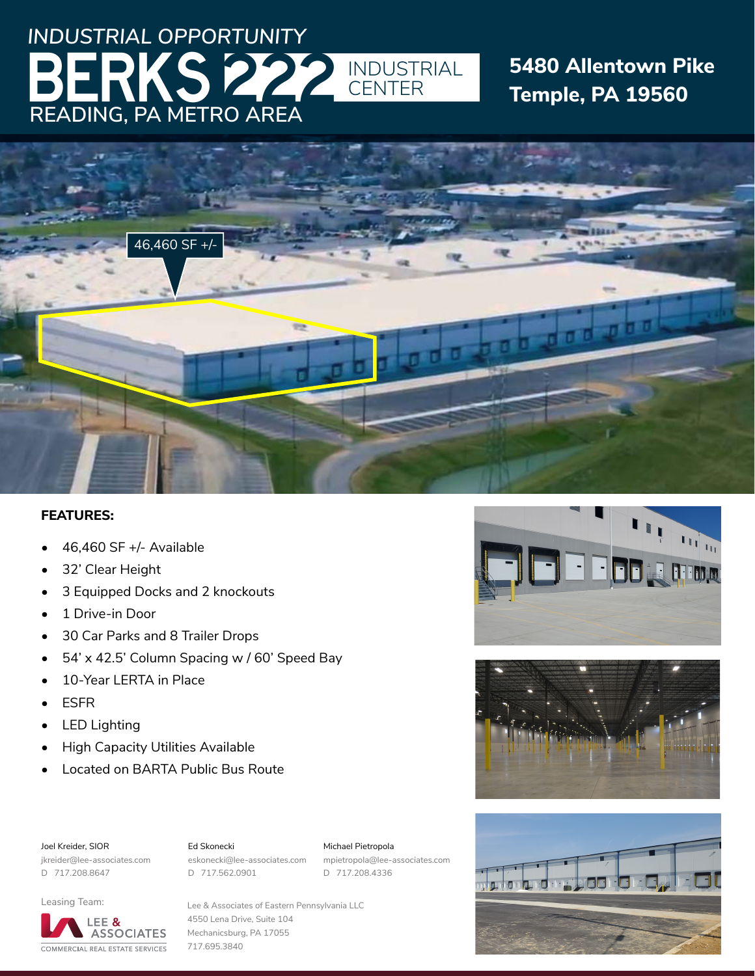# **READING, PA METRO AREA** *INDUSTRIAL OPPORTUNITY* S222 INDUSTRIAL

## **5480 Allentown Pike Temple, PA 19560**



### **FEATURES:**

- 46,460 SF +/- Available
- 32' Clear Height
- 3 Equipped Docks and 2 knockouts
- 1 Drive-in Door
- 30 Car Parks and 8 Trailer Drops
- 54' x 42.5' Column Spacing w / 60' Speed Bay
- 10-Year LERTA in Place
- ESFR
- **LED Lighting**
- High Capacity Utilities Available
- Located on BARTA Public Bus Route

#### Joel Kreider, SIOR

#### Ed Skonecki

jkreider@lee-associates.com D 717.208.8647

eskonecki@lee-associates.com D 717.562.0901

Michael Pietropola mpietropola@lee-associates.com D 717.208.4336



### Leasing Team:



Lee & Associates of Eastern Pennsylvania LLC 4550 Lena Drive, Suite 104 Mechanicsburg, PA 17055 717.695.3840